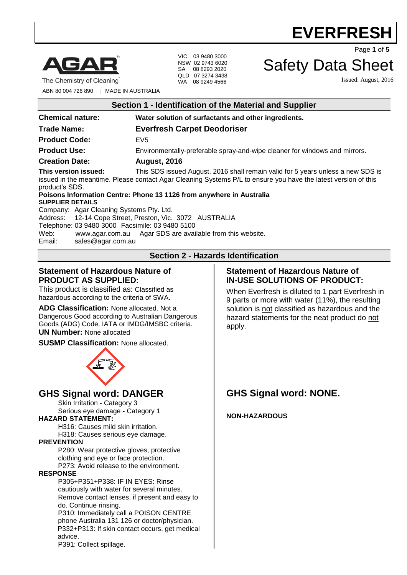

The Chemistry of Cleaning

VIC 03 9480 3000 NSW 02 9743 6020 SA 08 8293 2020 QLD 07 3274 3438 WA 08 9249 4566

Safety Data Sheet

Issued: August, 2016

Page **1** of **5**

ABN 80 004 726 890 | MADE IN AUSTRALIA

| Section 1 - Identification of the Material and Supplier                                                                                                                                                                                                     |                                                                                                                                                                                                                                                                           |
|-------------------------------------------------------------------------------------------------------------------------------------------------------------------------------------------------------------------------------------------------------------|---------------------------------------------------------------------------------------------------------------------------------------------------------------------------------------------------------------------------------------------------------------------------|
| <b>Chemical nature:</b>                                                                                                                                                                                                                                     | Water solution of surfactants and other ingredients.                                                                                                                                                                                                                      |
| <b>Trade Name:</b>                                                                                                                                                                                                                                          | <b>Everfresh Carpet Deodoriser</b>                                                                                                                                                                                                                                        |
| <b>Product Code:</b>                                                                                                                                                                                                                                        | EV <sub>5</sub>                                                                                                                                                                                                                                                           |
| <b>Product Use:</b>                                                                                                                                                                                                                                         | Environmentally-preferable spray-and-wipe cleaner for windows and mirrors.                                                                                                                                                                                                |
| <b>Creation Date:</b>                                                                                                                                                                                                                                       | <b>August, 2016</b>                                                                                                                                                                                                                                                       |
| This version issued:<br>product's SDS.                                                                                                                                                                                                                      | This SDS issued August, 2016 shall remain valid for 5 years unless a new SDS is<br>issued in the meantime. Please contact Agar Cleaning Systems P/L to ensure you have the latest version of this<br>Poisons Information Centre: Phone 13 1126 from anywhere in Australia |
| <b>SUPPLIER DETAILS</b>                                                                                                                                                                                                                                     |                                                                                                                                                                                                                                                                           |
| Company: Agar Cleaning Systems Pty. Ltd.<br>Address: 12-14 Cope Street, Preston, Vic. 3072 AUSTRALIA<br>Telephone: 03 9480 3000 Facsimile: 03 9480 5100<br>Web:<br>www.agar.com.au Agar SDS are available from this website.<br>Email:<br>sales@agar.com.au |                                                                                                                                                                                                                                                                           |
| <b>Section 2 - Hazards Identification</b>                                                                                                                                                                                                                   |                                                                                                                                                                                                                                                                           |
|                                                                                                                                                                                                                                                             |                                                                                                                                                                                                                                                                           |

### **Statement of Hazardous Nature of PRODUCT AS SUPPLIED:**

This product is classified as: Classified as hazardous according to the criteria of SWA.

**ADG Classification:** None allocated. Not a Dangerous Good according to Australian Dangerous Goods (ADG) Code, IATA or IMDG/IMSBC criteria. **UN Number:** None allocated

**SUSMP Classification:** None allocated.



### **GHS Signal word: DANGER**

Skin Irritation - Category 3 Serious eye damage - Category 1

### **HAZARD STATEMENT:**

H316: Causes mild skin irritation. H318: Causes serious eye damage.

### **PREVENTION**

P280: Wear protective gloves, protective clothing and eye or face protection.

P273: Avoid release to the environment. **RESPONSE**

P305+P351+P338: IF IN EYES: Rinse cautiously with water for several minutes. Remove contact lenses, if present and easy to do. Continue rinsing.

P310: Immediately call a POISON CENTRE phone Australia 131 126 or doctor/physician. P332+P313: If skin contact occurs, get medical advice.

P391: Collect spillage.

### **Statement of Hazardous Nature of IN-USE SOLUTIONS OF PRODUCT:**

When Everfresh is diluted to 1 part Everfresh in 9 parts or more with water (11%), the resulting solution is not classified as hazardous and the hazard statements for the neat product do not apply.

### **GHS Signal word: NONE.**

**NON-HAZARDOUS**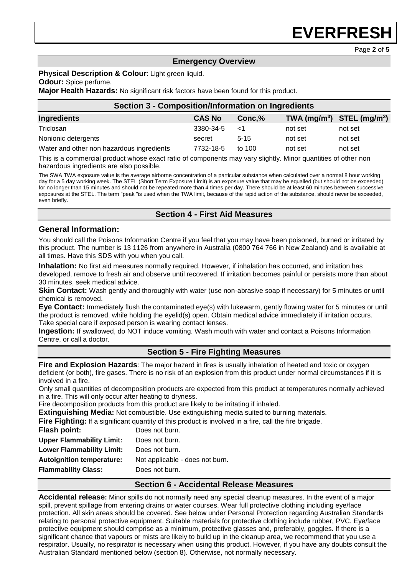Page **2** of **5**

### **Emergency Overview**

### **Physical Description & Colour: Light green liquid.**

#### **Odour:** Spice perfume.

**Major Health Hazards:** No significant risk factors have been found for this product.

| <b>Section 3 - Composition/Information on Ingredients</b> |               |          |                                |         |  |
|-----------------------------------------------------------|---------------|----------|--------------------------------|---------|--|
| Ingredients                                               | <b>CAS No</b> | Conc.%   | TWA $(mg/m^3)$ STEL $(mg/m^3)$ |         |  |
| Triclosan                                                 | 3380-34-5     | 1> ا     | not set                        | not set |  |
| Nonionic detergents                                       | secret        | $5 - 15$ | not set                        | not set |  |
| Water and other non hazardous ingredients                 | 7732-18-5     | to $100$ | not set                        | not set |  |

This is a commercial product whose exact ratio of components may vary slightly. Minor quantities of other non hazardous ingredients are also possible.

The SWA TWA exposure value is the average airborne concentration of a particular substance when calculated over a normal 8 hour working day for a 5 day working week. The STEL (Short Term Exposure Limit) is an exposure value that may be equalled (but should not be exceeded) for no longer than 15 minutes and should not be repeated more than 4 times per day. There should be at least 60 minutes between successive exposures at the STEL. The term "peak "is used when the TWA limit, because of the rapid action of the substance, should never be exceeded, even briefly.

### **Section 4 - First Aid Measures**

### **General Information:**

You should call the Poisons Information Centre if you feel that you may have been poisoned, burned or irritated by this product. The number is 13 1126 from anywhere in Australia (0800 764 766 in New Zealand) and is available at all times. Have this SDS with you when you call.

**Inhalation:** No first aid measures normally required. However, if inhalation has occurred, and irritation has developed, remove to fresh air and observe until recovered. If irritation becomes painful or persists more than about 30 minutes, seek medical advice.

**Skin Contact:** Wash gently and thoroughly with water (use non-abrasive soap if necessary) for 5 minutes or until chemical is removed.

**Eye Contact:** Immediately flush the contaminated eye(s) with lukewarm, gently flowing water for 5 minutes or until the product is removed, while holding the eyelid(s) open. Obtain medical advice immediately if irritation occurs. Take special care if exposed person is wearing contact lenses.

**Ingestion:** If swallowed, do NOT induce vomiting. Wash mouth with water and contact a Poisons Information Centre, or call a doctor.

### **Section 5 - Fire Fighting Measures**

**Fire and Explosion Hazards**: The major hazard in fires is usually inhalation of heated and toxic or oxygen deficient (or both), fire gases. There is no risk of an explosion from this product under normal circumstances if it is involved in a fire.

Only small quantities of decomposition products are expected from this product at temperatures normally achieved in a fire. This will only occur after heating to dryness.

Fire decomposition products from this product are likely to be irritating if inhaled.

**Extinguishing Media:** Not combustible. Use extinguishing media suited to burning materials.

**Fire Fighting:** If a significant quantity of this product is involved in a fire, call the fire brigade.

| Flash point:                     | Does not burn.                  |
|----------------------------------|---------------------------------|
| <b>Upper Flammability Limit:</b> | Does not burn.                  |
| <b>Lower Flammability Limit:</b> | Does not burn.                  |
| <b>Autoignition temperature:</b> | Not applicable - does not burn. |
| <b>Flammability Class:</b>       | Does not burn.                  |
|                                  |                                 |

### **Section 6 - Accidental Release Measures**

**Accidental release:** Minor spills do not normally need any special cleanup measures. In the event of a major spill, prevent spillage from entering drains or water courses. Wear full protective clothing including eye/face protection. All skin areas should be covered. See below under Personal Protection regarding Australian Standards relating to personal protective equipment. Suitable materials for protective clothing include rubber, PVC. Eye/face protective equipment should comprise as a minimum, protective glasses and, preferably, goggles. If there is a significant chance that vapours or mists are likely to build up in the cleanup area, we recommend that you use a respirator. Usually, no respirator is necessary when using this product. However, if you have any doubts consult the Australian Standard mentioned below (section 8). Otherwise, not normally necessary.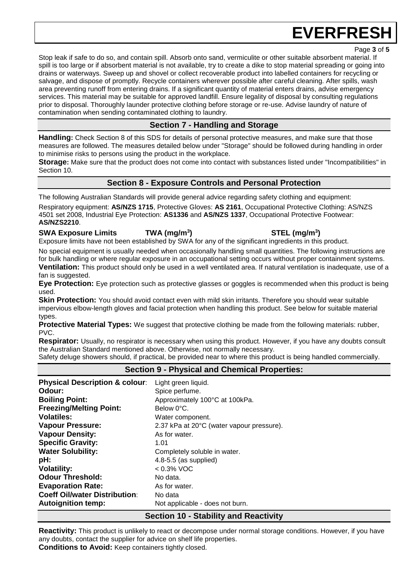Page **3** of **5**

Stop leak if safe to do so, and contain spill. Absorb onto sand, vermiculite or other suitable absorbent material. If spill is too large or if absorbent material is not available, try to create a dike to stop material spreading or going into drains or waterways. Sweep up and shovel or collect recoverable product into labelled containers for recycling or salvage, and dispose of promptly. Recycle containers wherever possible after careful cleaning. After spills, wash area preventing runoff from entering drains. If a significant quantity of material enters drains, advise emergency services. This material may be suitable for approved landfill. Ensure legality of disposal by consulting regulations prior to disposal. Thoroughly launder protective clothing before storage or re-use. Advise laundry of nature of contamination when sending contaminated clothing to laundry.

### **Section 7 - Handling and Storage**

**Handling:** Check Section 8 of this SDS for details of personal protective measures, and make sure that those measures are followed. The measures detailed below under "Storage" should be followed during handling in order to minimise risks to persons using the product in the workplace.

**Storage:** Make sure that the product does not come into contact with substances listed under "Incompatibilities" in Section 10.

### **Section 8 - Exposure Controls and Personal Protection**

The following Australian Standards will provide general advice regarding safety clothing and equipment:

Respiratory equipment: **AS/NZS 1715**, Protective Gloves: **AS 2161**, Occupational Protective Clothing: AS/NZS 4501 set 2008, Industrial Eye Protection: **AS1336** and **AS/NZS 1337**, Occupational Protective Footwear: **AS/NZS2210**.

### **SWA Exposure Limits TWA (mg/m<sup>3</sup>**

Exposure limits have not been established by SWA for any of the significant ingredients in this product.

No special equipment is usually needed when occasionally handling small quantities. The following instructions are for bulk handling or where regular exposure in an occupational setting occurs without proper containment systems.

**Ventilation:** This product should only be used in a well ventilated area. If natural ventilation is inadequate, use of a fan is suggested.

**Eye Protection:** Eye protection such as protective glasses or goggles is recommended when this product is being used.

**Skin Protection:** You should avoid contact even with mild skin irritants. Therefore you should wear suitable impervious elbow-length gloves and facial protection when handling this product. See below for suitable material types.

**Protective Material Types:** We suggest that protective clothing be made from the following materials: rubber, PVC.

**Respirator:** Usually, no respirator is necessary when using this product. However, if you have any doubts consult the Australian Standard mentioned above. Otherwise, not normally necessary.

Safety deluge showers should, if practical, be provided near to where this product is being handled commercially.

### **Section 9 - Physical and Chemical Properties:**

| <b>Physical Description &amp; colour:</b> | Light green liquid.                       |
|-------------------------------------------|-------------------------------------------|
| Odour:                                    | Spice perfume.                            |
| <b>Boiling Point:</b>                     | Approximately 100°C at 100kPa.            |
| <b>Freezing/Melting Point:</b>            | Below 0°C.                                |
| <b>Volatiles:</b>                         | Water component.                          |
| <b>Vapour Pressure:</b>                   | 2.37 kPa at 20°C (water vapour pressure). |
| <b>Vapour Density:</b>                    | As for water.                             |
| <b>Specific Gravity:</b>                  | 1.01                                      |
| <b>Water Solubility:</b>                  | Completely soluble in water.              |
| pH:                                       | $4.8 - 5.5$ (as supplied)                 |
| <b>Volatility:</b>                        | $< 0.3\%$ VOC                             |
| <b>Odour Threshold:</b>                   | No data.                                  |
| <b>Evaporation Rate:</b>                  | As for water.                             |
| <b>Coeff Oil/water Distribution:</b>      | No data                                   |
| <b>Autoignition temp:</b>                 | Not applicable - does not burn.           |
|                                           | $\sim$ $\sim$                             |

### **Section 10 - Stability and Reactivity**

**Reactivity:** This product is unlikely to react or decompose under normal storage conditions. However, if you have any doubts, contact the supplier for advice on shelf life properties. **Conditions to Avoid:** Keep containers tightly closed.

### **) STEL (mg/m<sup>3</sup> )**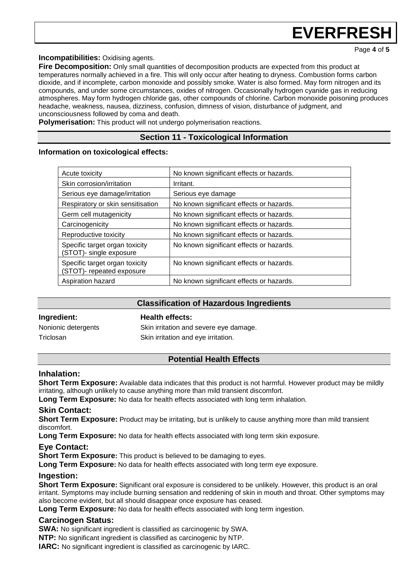Page **4** of **5**

**Incompatibilities:** Oxidising agents.

**Fire Decomposition:** Only small quantities of decomposition products are expected from this product at temperatures normally achieved in a fire. This will only occur after heating to dryness. Combustion forms carbon dioxide, and if incomplete, carbon monoxide and possibly smoke. Water is also formed. May form nitrogen and its compounds, and under some circumstances, oxides of nitrogen. Occasionally hydrogen cyanide gas in reducing atmospheres. May form hydrogen chloride gas, other compounds of chlorine. Carbon monoxide poisoning produces headache, weakness, nausea, dizziness, confusion, dimness of vision, disturbance of judgment, and unconsciousness followed by coma and death.

**Polymerisation:** This product will not undergo polymerisation reactions.

### **Section 11 - Toxicological Information**

### **Information on toxicological effects:**

| Acute toxicity                                              | No known significant effects or hazards. |
|-------------------------------------------------------------|------------------------------------------|
| Skin corrosion/irritation                                   | Irritant.                                |
| Serious eye damage/irritation                               | Serious eye damage                       |
| Respiratory or skin sensitisation                           | No known significant effects or hazards. |
| Germ cell mutagenicity                                      | No known significant effects or hazards. |
| Carcinogenicity                                             | No known significant effects or hazards. |
| Reproductive toxicity                                       | No known significant effects or hazards. |
| Specific target organ toxicity<br>(STOT)- single exposure   | No known significant effects or hazards. |
| Specific target organ toxicity<br>(STOT)- repeated exposure | No known significant effects or hazards. |
| Aspiration hazard                                           | No known significant effects or hazards. |

### **Classification of Hazardous Ingredients**

**Ingredient: Health effects:** 

Triclosan Skin irritation and eye irritation.

Nonionic detergents Skin irritation and severe eye damage.

### **Potential Health Effects**

### **Inhalation:**

**Short Term Exposure:** Available data indicates that this product is not harmful. However product may be mildly irritating, although unlikely to cause anything more than mild transient discomfort.

**Long Term Exposure:** No data for health effects associated with long term inhalation.

### **Skin Contact:**

**Short Term Exposure:** Product may be irritating, but is unlikely to cause anything more than mild transient discomfort.

**Long Term Exposure:** No data for health effects associated with long term skin exposure.

### **Eye Contact:**

**Short Term Exposure:** This product is believed to be damaging to eyes.

**Long Term Exposure:** No data for health effects associated with long term eye exposure.

### **Ingestion:**

**Short Term Exposure:** Significant oral exposure is considered to be unlikely. However, this product is an oral irritant. Symptoms may include burning sensation and reddening of skin in mouth and throat. Other symptoms may also become evident, but all should disappear once exposure has ceased.

**Long Term Exposure:** No data for health effects associated with long term ingestion.

### **Carcinogen Status:**

**SWA:** No significant ingredient is classified as carcinogenic by SWA.

**NTP:** No significant ingredient is classified as carcinogenic by NTP.

**IARC:** No significant ingredient is classified as carcinogenic by IARC.